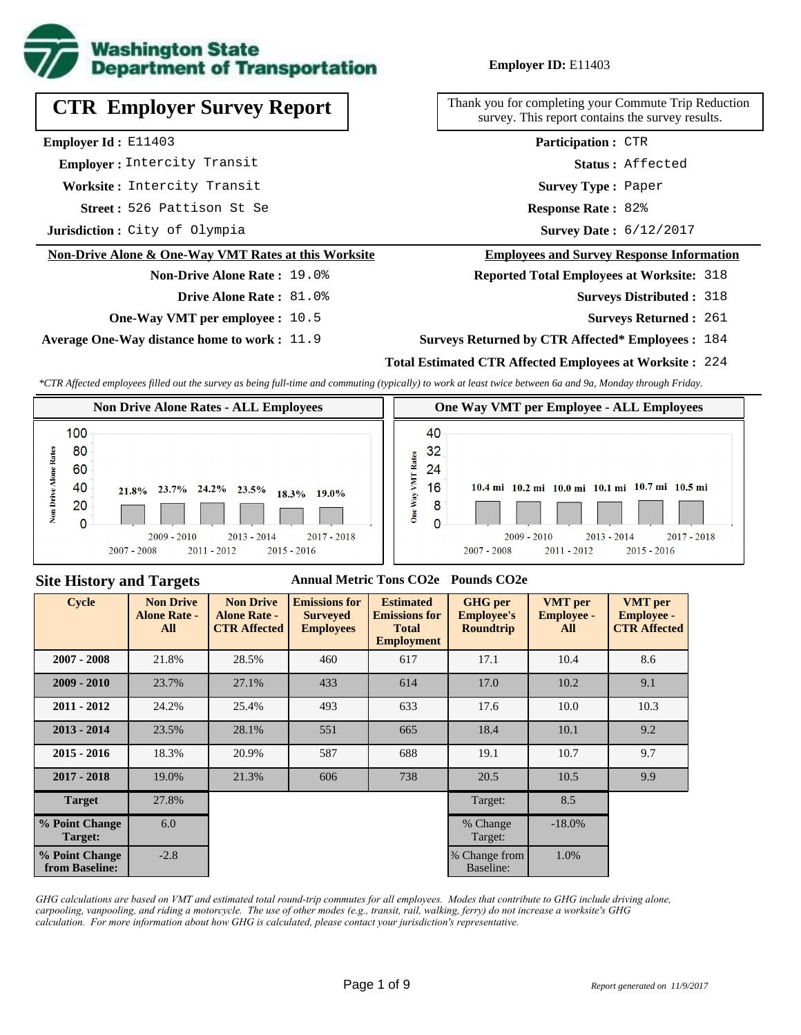

# **CTR Employer Survey Report**

**Employer Id :** E11403

 **Employer :** Intercity Transit

**Worksite :** Intercity Transit

526 Pattison St Se **Response Rate : Street :**

**Jurisdiction :** City of Olympia

#### **Non-Drive Alone & One-Way VMT Rates at this Worksite**

# **Non-Drive Alone Rate :** 19.0%

**Drive Alone Rate :** 81.0%

**One-Way VMT per employee :** 10.5

**Average One-Way distance home to work :** 11.9

**Employer ID:** E11403

Thank you for completing your Commute Trip Reduction survey. This report contains the survey results.

> Response Rate: 82% **Survey Type :** Paper **Status :** Affected **Participation :** CTR

Survey Date: 6/12/2017

#### **Employees and Survey Response Information**

**Reported Total Employees at Worksite:** 318

318 **Surveys Distributed :**

**Surveys Returned :** 261

#### **Surveys Returned by CTR Affected\* Employees :** 184

### **Total Estimated CTR Affected Employees at Worksite :** 224

*\*CTR Affected employees filled out the survey as being full-time and commuting (typically) to work at least twice between 6a and 9a, Monday through Friday.*



#### **Site History and Targets**

#### **Annual Metric Tons CO2e Pounds CO2e**

| <b>Cycle</b>                     | <b>Non Drive</b><br><b>Alone Rate -</b><br>All | <b>Non Drive</b><br><b>Alone Rate -</b><br><b>CTR Affected</b> | <b>Emissions for</b><br><b>Surveyed</b><br><b>Employees</b> | <b>Estimated</b><br><b>Emissions for</b><br><b>Total</b><br><b>Employment</b> | <b>GHG</b> per<br><b>Employee's</b><br><b>Roundtrip</b> | <b>VMT</b> per<br><b>Employee -</b><br>All | <b>VMT</b> per<br><b>Employee -</b><br><b>CTR Affected</b> |
|----------------------------------|------------------------------------------------|----------------------------------------------------------------|-------------------------------------------------------------|-------------------------------------------------------------------------------|---------------------------------------------------------|--------------------------------------------|------------------------------------------------------------|
| $2007 - 2008$                    | 21.8%                                          | 28.5%                                                          | 460                                                         |                                                                               | 17.1                                                    | 10.4                                       | 8.6                                                        |
| $2009 - 2010$                    | 23.7%                                          | 27.1%                                                          | 433                                                         | 614                                                                           | 17.0                                                    | 10.2                                       | 9.1                                                        |
| $2011 - 2012$                    | 24.2%                                          | 25.4%                                                          | 493                                                         | 633                                                                           | 17.6                                                    | 10.0                                       | 10.3                                                       |
| $2013 - 2014$                    | 23.5%                                          | 28.1%                                                          | 551                                                         | 18.4<br>665                                                                   |                                                         | 10.1                                       | 9.2                                                        |
| $2015 - 2016$                    | 18.3%                                          | 20.9%                                                          | 587                                                         | 688                                                                           | 19.1                                                    | 10.7                                       | 9.7                                                        |
| $2017 - 2018$                    | 19.0%                                          | 21.3%                                                          | 606                                                         | 738                                                                           | 20.5                                                    | 10.5                                       | 9.9                                                        |
| <b>Target</b>                    | 27.8%                                          |                                                                |                                                             |                                                                               | Target:                                                 | 8.5                                        |                                                            |
| % Point Change<br>Target:        | 6.0                                            |                                                                |                                                             |                                                                               | % Change<br>Target:                                     | $-18.0\%$                                  |                                                            |
| % Point Change<br>from Baseline: | $-2.8$                                         |                                                                |                                                             |                                                                               | % Change from<br>Baseline:                              | 1.0%                                       |                                                            |

*GHG calculations are based on VMT and estimated total round-trip commutes for all employees. Modes that contribute to GHG include driving alone, carpooling, vanpooling, and riding a motorcycle. The use of other modes (e.g., transit, rail, walking, ferry) do not increase a worksite's GHG calculation. For more information about how GHG is calculated, please contact your jurisdiction's representative.*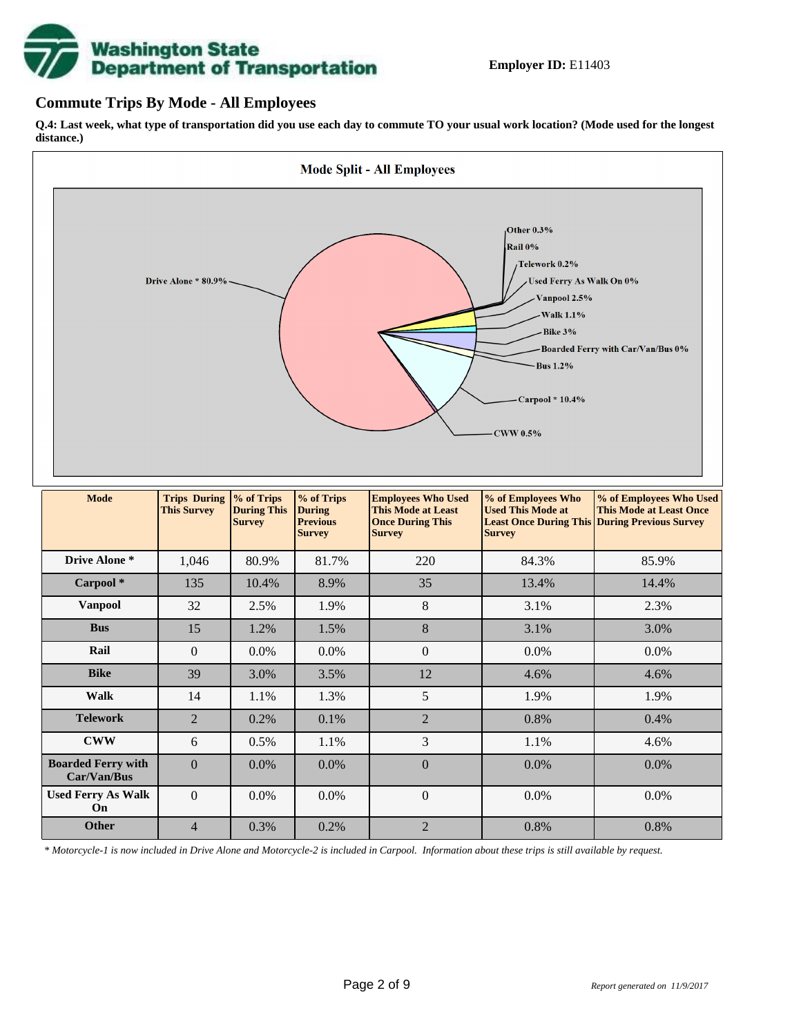# **Washington State<br>Department of Transportation**

## **Commute Trips By Mode - All Employees**

**Q.4: Last week, what type of transportation did you use each day to commute TO your usual work location? (Mode used for the longest distance.)**



*\* Motorcycle-1 is now included in Drive Alone and Motorcycle-2 is included in Carpool. Information about these trips is still available by request.*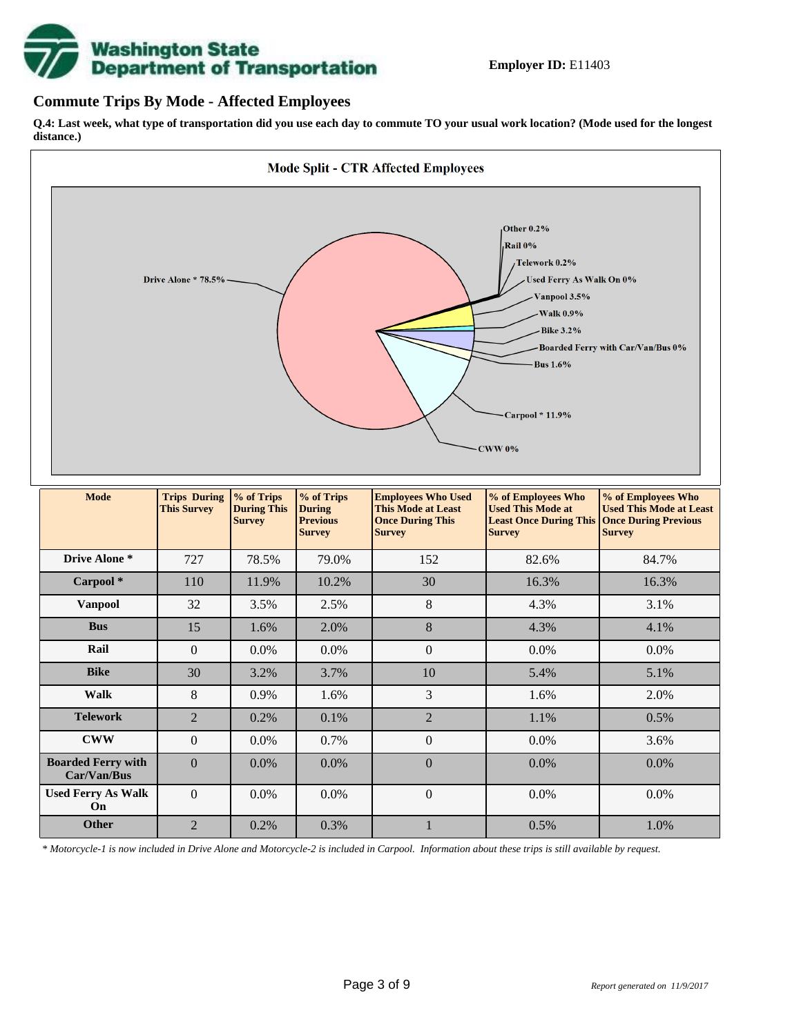

## **Commute Trips By Mode - Affected Employees**

**Q.4: Last week, what type of transportation did you use each day to commute TO your usual work location? (Mode used for the longest distance.)**



*\* Motorcycle-1 is now included in Drive Alone and Motorcycle-2 is included in Carpool. Information about these trips is still available by request.*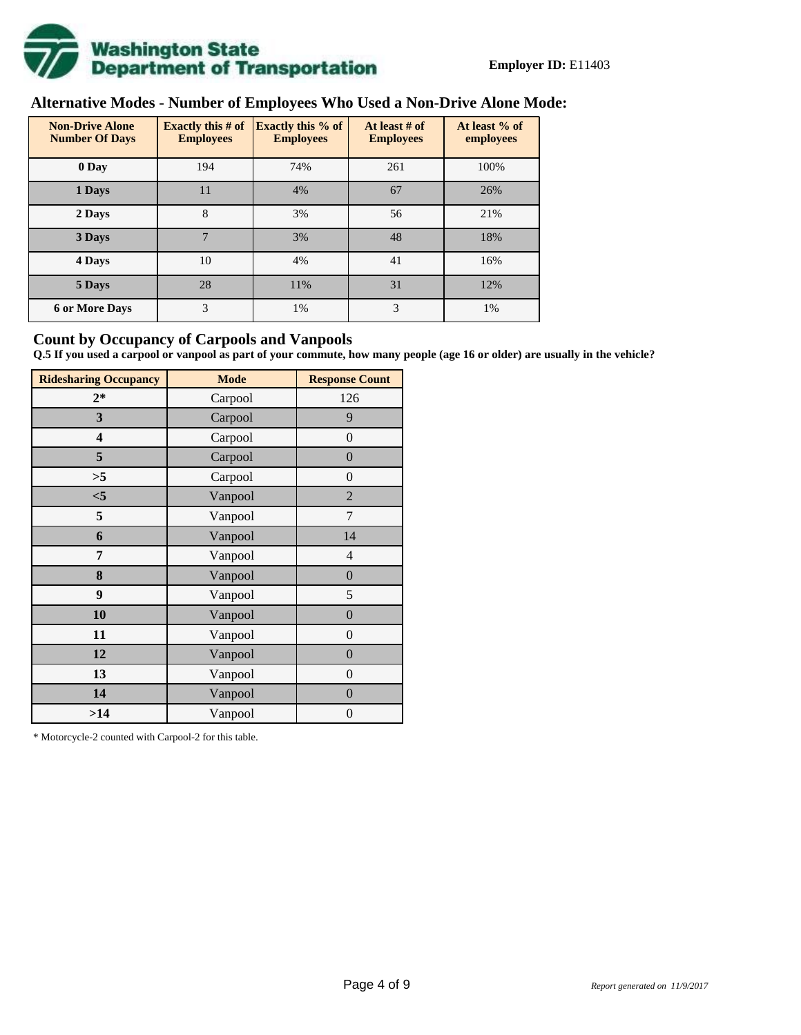

# **Alternative Modes - Number of Employees Who Used a Non-Drive Alone Mode:**

| <b>Non-Drive Alone</b><br><b>Number Of Days</b> | Exactly this $#$ of<br><b>Employees</b> | Exactly this % of<br><b>Employees</b> | At least # of<br><b>Employees</b> | At least % of<br>employees |
|-------------------------------------------------|-----------------------------------------|---------------------------------------|-----------------------------------|----------------------------|
| 0 Day                                           | 194                                     | 74%                                   | 261                               | 100%                       |
| 1 Days                                          | 11                                      | 4%                                    | 67                                | 26%                        |
| 2 Days                                          | 8                                       | 3%                                    | 56                                | 21%                        |
| 3 Days                                          | 7                                       | 3%                                    | 48                                | 18%                        |
| 4 Days                                          | 10                                      | 4%                                    | 41                                | 16%                        |
| 5 Days                                          | 28                                      | 11%                                   | 31                                | 12%                        |
| <b>6 or More Days</b>                           | 3                                       | 1%                                    | 3                                 | 1%                         |

## **Count by Occupancy of Carpools and Vanpools**

**Q.5 If you used a carpool or vanpool as part of your commute, how many people (age 16 or older) are usually in the vehicle?**

| <b>Ridesharing Occupancy</b> | <b>Mode</b> | <b>Response Count</b> |
|------------------------------|-------------|-----------------------|
| $2*$                         | Carpool     | 126                   |
| 3                            | Carpool     | 9                     |
| 4                            | Carpool     | $\boldsymbol{0}$      |
| 5                            | Carpool     | $\boldsymbol{0}$      |
| >5                           | Carpool     | $\boldsymbol{0}$      |
| $<$ 5                        | Vanpool     | $\overline{2}$        |
| 5                            | Vanpool     | 7                     |
| 6                            | Vanpool     | 14                    |
| 7                            | Vanpool     | 4                     |
| 8                            | Vanpool     | $\boldsymbol{0}$      |
| 9                            | Vanpool     | 5                     |
| 10                           | Vanpool     | $\overline{0}$        |
| 11                           | Vanpool     | $\boldsymbol{0}$      |
| 12                           | Vanpool     | $\boldsymbol{0}$      |
| 13                           | Vanpool     | $\boldsymbol{0}$      |
| 14                           | Vanpool     | $\overline{0}$        |
| >14                          | Vanpool     | $\boldsymbol{0}$      |

\* Motorcycle-2 counted with Carpool-2 for this table.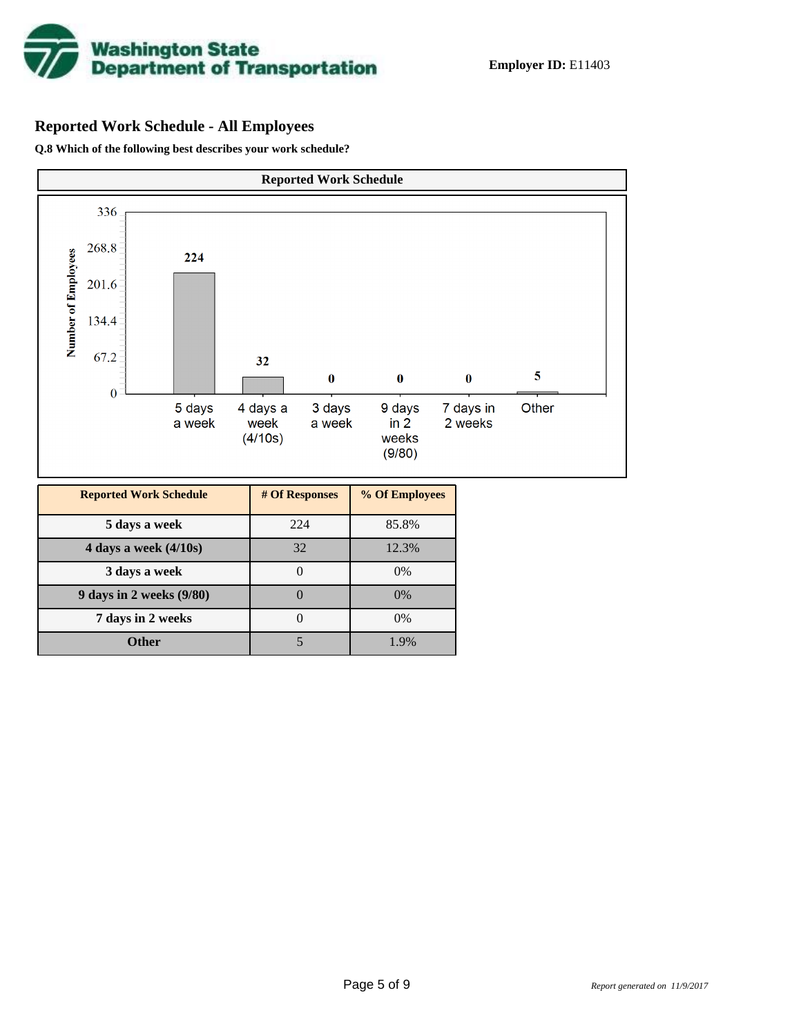

# **Reported Work Schedule - All Employees**

**Q.8 Which of the following best describes your work schedule?**

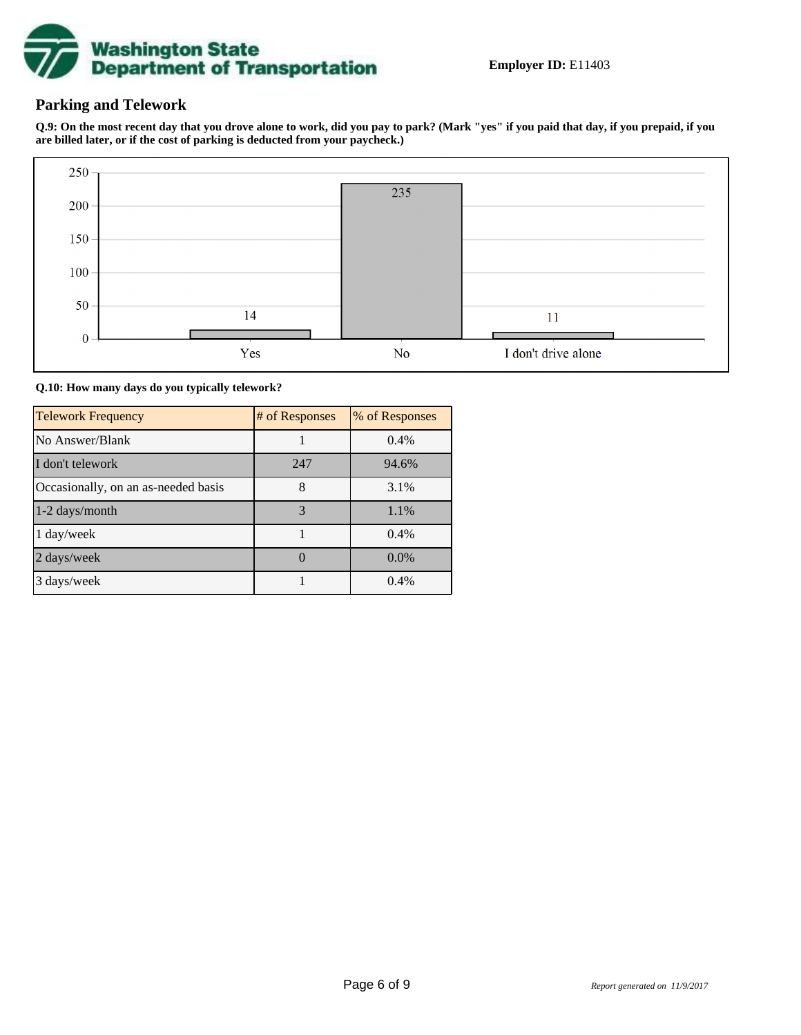

## **Parking and Telework**

**Q.9: On the most recent day that you drove alone to work, did you pay to park? (Mark "yes" if you paid that day, if you prepaid, if you are billed later, or if the cost of parking is deducted from your paycheck.)**



**Q.10: How many days do you typically telework?**

| <b>Telework Frequency</b>           | # of Responses | % of Responses |
|-------------------------------------|----------------|----------------|
| No Answer/Blank                     |                | 0.4%           |
| I don't telework                    | 247            | 94.6%          |
| Occasionally, on an as-needed basis | 8              | 3.1%           |
| 1-2 days/month                      | 3              | 1.1%           |
| 1 day/week                          |                | 0.4%           |
| 2 days/week                         |                | $0.0\%$        |
| 3 days/week                         |                | 0.4%           |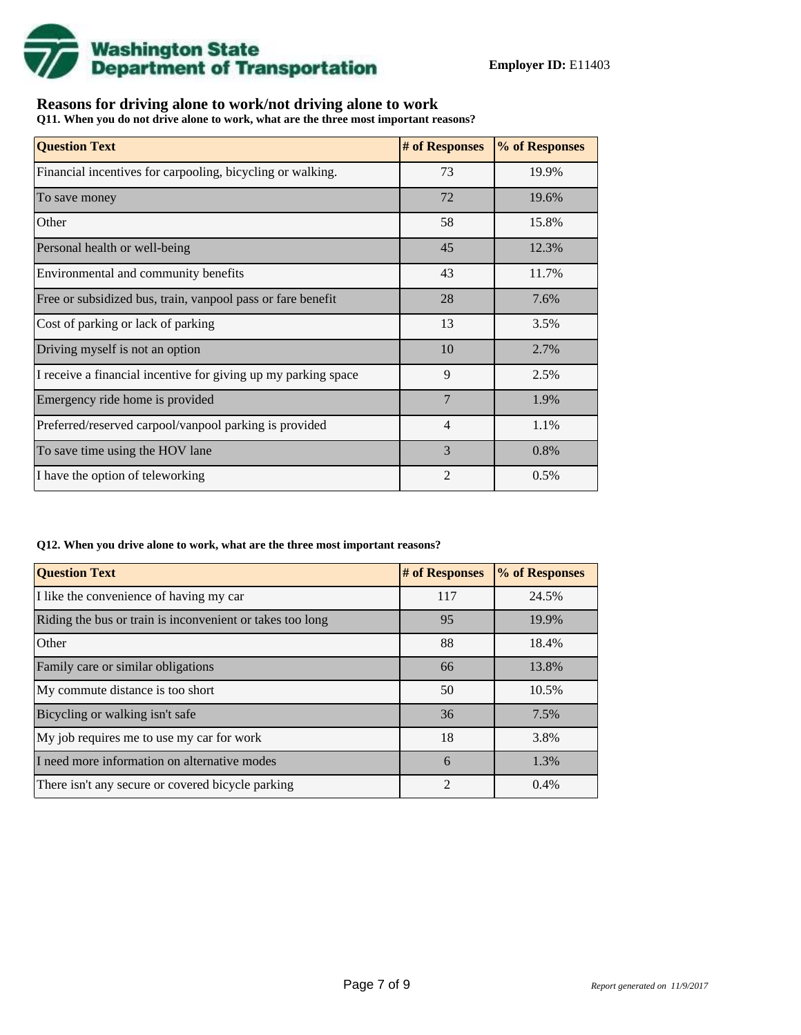

## **Reasons for driving alone to work/not driving alone to work**

**Q11. When you do not drive alone to work, what are the three most important reasons?**

| <b>Question Text</b>                                           | # of Responses | % of Responses |
|----------------------------------------------------------------|----------------|----------------|
| Financial incentives for carpooling, bicycling or walking.     | 73             | 19.9%          |
| To save money                                                  | 72             | 19.6%          |
| Other                                                          | 58             | 15.8%          |
| Personal health or well-being                                  | 45             | 12.3%          |
| Environmental and community benefits                           | 43             | 11.7%          |
| Free or subsidized bus, train, vanpool pass or fare benefit    | 28             | 7.6%           |
| Cost of parking or lack of parking                             | 13             | 3.5%           |
| Driving myself is not an option                                | 10             | 2.7%           |
| I receive a financial incentive for giving up my parking space | 9              | 2.5%           |
| Emergency ride home is provided                                | 7              | 1.9%           |
| Preferred/reserved carpool/vanpool parking is provided         | 4              | 1.1%           |
| To save time using the HOV lane                                | 3              | 0.8%           |
| I have the option of teleworking                               | $\overline{2}$ | 0.5%           |

#### **Q12. When you drive alone to work, what are the three most important reasons?**

| <b>Question Text</b>                                      | # of Responses | % of Responses |
|-----------------------------------------------------------|----------------|----------------|
| I like the convenience of having my car                   | 117            | 24.5%          |
| Riding the bus or train is inconvenient or takes too long | 95             | 19.9%          |
| Other                                                     | 88             | 18.4%          |
| Family care or similar obligations                        | 66             | 13.8%          |
| My commute distance is too short                          | 50             | 10.5%          |
| Bicycling or walking isn't safe                           | 36             | 7.5%           |
| My job requires me to use my car for work                 | 18             | 3.8%           |
| I need more information on alternative modes              | 6              | 1.3%           |
| There isn't any secure or covered bicycle parking         | $\mathfrak{D}$ | 0.4%           |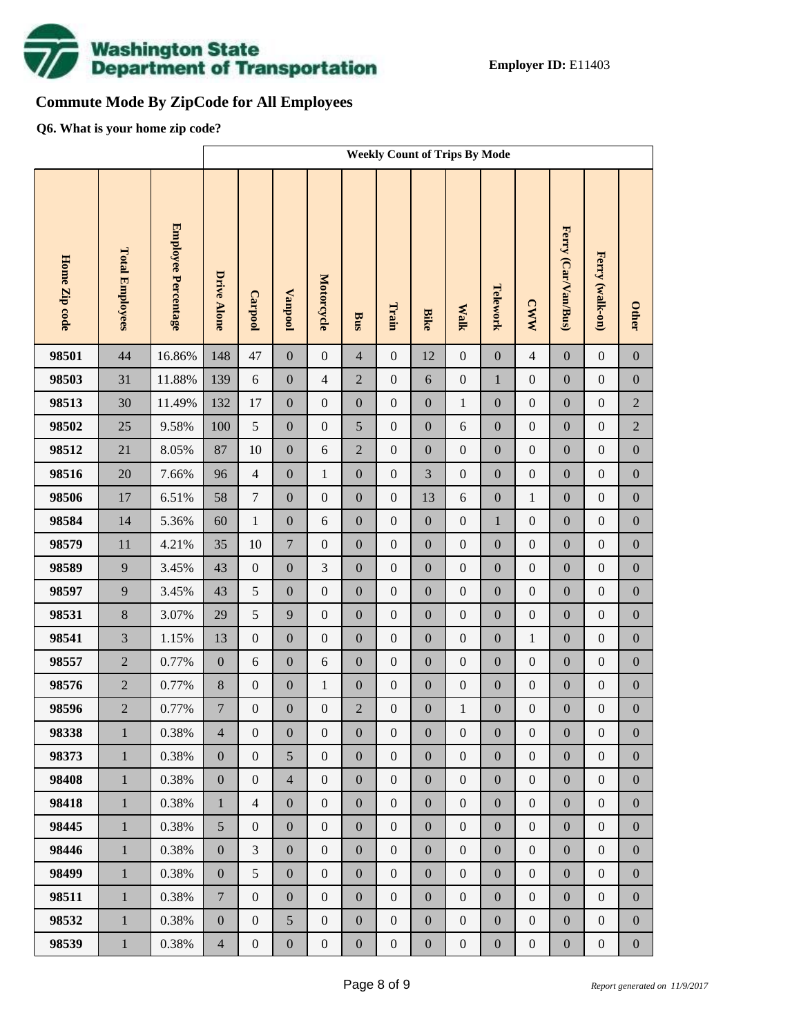

# **Commute Mode By ZipCode for All Employees**

**Q6. What is your home zip code?**

|               |                        |                     | <b>Weekly Count of Trips By Mode</b> |                  |                  |                  |                  |                  |                  |                  |                  |                  |                     |                  |                  |
|---------------|------------------------|---------------------|--------------------------------------|------------------|------------------|------------------|------------------|------------------|------------------|------------------|------------------|------------------|---------------------|------------------|------------------|
| Home Zip code | <b>Total Employees</b> | Employee Percentage | <b>Drive Alone</b>                   | Carpool          | <b>Vanpool</b>   | Motorcycle       | <b>Bus</b>       | Train            | <b>Bike</b>      | <b>Walk</b>      | Telework         | <b>CWW</b>       | Ferry (Car/Van/Bus) | Ferry (walk-on)  | <b>Other</b>     |
| 98501         | 44                     | 16.86%              | 148                                  | 47               | $\boldsymbol{0}$ | $\mathbf{0}$     | $\overline{4}$   | $\boldsymbol{0}$ | 12               | $\boldsymbol{0}$ | $\boldsymbol{0}$ | $\overline{4}$   | $\boldsymbol{0}$    | $\boldsymbol{0}$ | $\boldsymbol{0}$ |
| 98503         | 31                     | 11.88%              | 139                                  | $6\,$            | $\boldsymbol{0}$ | $\overline{4}$   | $\overline{2}$   | $\boldsymbol{0}$ | 6                | $\boldsymbol{0}$ | $\mathbf{1}$     | $\boldsymbol{0}$ | $\boldsymbol{0}$    | $\boldsymbol{0}$ | $\boldsymbol{0}$ |
| 98513         | 30                     | 11.49%              | 132                                  | 17               | $\boldsymbol{0}$ | $\boldsymbol{0}$ | $\boldsymbol{0}$ | $\boldsymbol{0}$ | $\boldsymbol{0}$ | $\mathbf{1}$     | $\boldsymbol{0}$ | $\boldsymbol{0}$ | $\boldsymbol{0}$    | $\boldsymbol{0}$ | $\sqrt{2}$       |
| 98502         | 25                     | 9.58%               | 100                                  | 5                | $\boldsymbol{0}$ | $\boldsymbol{0}$ | 5                | $\boldsymbol{0}$ | $\overline{0}$   | 6                | $\boldsymbol{0}$ | $\boldsymbol{0}$ | $\boldsymbol{0}$    | $\boldsymbol{0}$ | $\sqrt{2}$       |
| 98512         | $21\,$                 | 8.05%               | 87                                   | 10               | $\boldsymbol{0}$ | 6                | $\overline{2}$   | $\boldsymbol{0}$ | $\boldsymbol{0}$ | $\boldsymbol{0}$ | $\boldsymbol{0}$ | $\boldsymbol{0}$ | $\boldsymbol{0}$    | $\boldsymbol{0}$ | $\boldsymbol{0}$ |
| 98516         | 20                     | 7.66%               | 96                                   | $\overline{4}$   | $\mathbf{0}$     | $\mathbf{1}$     | $\boldsymbol{0}$ | $\boldsymbol{0}$ | 3                | $\boldsymbol{0}$ | $\boldsymbol{0}$ | $\boldsymbol{0}$ | $\boldsymbol{0}$    | $\boldsymbol{0}$ | $\boldsymbol{0}$ |
| 98506         | 17                     | 6.51%               | 58                                   | $\boldsymbol{7}$ | $\boldsymbol{0}$ | $\boldsymbol{0}$ | $\boldsymbol{0}$ | $\boldsymbol{0}$ | 13               | $\sqrt{6}$       | $\boldsymbol{0}$ | $\,1\,$          | $\boldsymbol{0}$    | $\boldsymbol{0}$ | $\boldsymbol{0}$ |
| 98584         | 14                     | 5.36%               | 60                                   | $\mathbf{1}$     | $\boldsymbol{0}$ | 6                | $\boldsymbol{0}$ | $\boldsymbol{0}$ | $\overline{0}$   | $\boldsymbol{0}$ | $\mathbf{1}$     | $\boldsymbol{0}$ | $\boldsymbol{0}$    | $\boldsymbol{0}$ | $\boldsymbol{0}$ |
| 98579         | 11                     | 4.21%               | 35                                   | 10               | $\boldsymbol{7}$ | $\boldsymbol{0}$ | $\boldsymbol{0}$ | $\boldsymbol{0}$ | $\boldsymbol{0}$ | $\boldsymbol{0}$ | $\boldsymbol{0}$ | $\boldsymbol{0}$ | $\boldsymbol{0}$    | $\boldsymbol{0}$ | $\boldsymbol{0}$ |
| 98589         | 9                      | 3.45%               | 43                                   | $\boldsymbol{0}$ | $\boldsymbol{0}$ | 3                | $\boldsymbol{0}$ | $\boldsymbol{0}$ | $\mathbf{0}$     | $\boldsymbol{0}$ | $\boldsymbol{0}$ | $\boldsymbol{0}$ | $\boldsymbol{0}$    | $\boldsymbol{0}$ | $\boldsymbol{0}$ |
| 98597         | 9                      | 3.45%               | 43                                   | 5                | $\boldsymbol{0}$ | $\boldsymbol{0}$ | $\boldsymbol{0}$ | $\boldsymbol{0}$ | $\boldsymbol{0}$ | $\boldsymbol{0}$ | $\boldsymbol{0}$ | $\boldsymbol{0}$ | $\boldsymbol{0}$    | $\boldsymbol{0}$ | $\boldsymbol{0}$ |
| 98531         | 8                      | 3.07%               | 29                                   | 5                | 9                | $\mathbf{0}$     | $\boldsymbol{0}$ | $\boldsymbol{0}$ | $\overline{0}$   | $\boldsymbol{0}$ | $\boldsymbol{0}$ | $\boldsymbol{0}$ | $\boldsymbol{0}$    | $\boldsymbol{0}$ | $\boldsymbol{0}$ |
| 98541         | $\overline{3}$         | 1.15%               | 13                                   | $\boldsymbol{0}$ | $\boldsymbol{0}$ | $\boldsymbol{0}$ | $\boldsymbol{0}$ | $\boldsymbol{0}$ | $\boldsymbol{0}$ | $\boldsymbol{0}$ | $\boldsymbol{0}$ | $\,1\,$          | $\boldsymbol{0}$    | $\boldsymbol{0}$ | $\boldsymbol{0}$ |
| 98557         | $\overline{2}$         | 0.77%               | $\boldsymbol{0}$                     | $6\,$            | $\boldsymbol{0}$ | 6                | $\boldsymbol{0}$ | $\boldsymbol{0}$ | $\overline{0}$   | $\boldsymbol{0}$ | $\boldsymbol{0}$ | $\boldsymbol{0}$ | $\boldsymbol{0}$    | $\boldsymbol{0}$ | $\boldsymbol{0}$ |
| 98576         | $\overline{2}$         | 0.77%               | $\,8\,$                              | $\boldsymbol{0}$ | $\boldsymbol{0}$ | $\mathbf{1}$     | $\boldsymbol{0}$ | $\boldsymbol{0}$ | $\boldsymbol{0}$ | $\boldsymbol{0}$ | $\boldsymbol{0}$ | $\boldsymbol{0}$ | $\boldsymbol{0}$    | $\boldsymbol{0}$ | $\boldsymbol{0}$ |
| 98596         | $\overline{2}$         | 0.77%               | $\boldsymbol{7}$                     | $\boldsymbol{0}$ | $\boldsymbol{0}$ | $\boldsymbol{0}$ | $\overline{2}$   | $\boldsymbol{0}$ | $\boldsymbol{0}$ | $\mathbf{1}$     | $\boldsymbol{0}$ | $\boldsymbol{0}$ | $\boldsymbol{0}$    | $\boldsymbol{0}$ | $\boldsymbol{0}$ |
| 98338         | $\mathbf{1}$           | $0.38\%$            | $\overline{4}$                       | $\mathbf{0}$     | $\boldsymbol{0}$ | $\boldsymbol{0}$ | $\boldsymbol{0}$ | $\boldsymbol{0}$ | $\boldsymbol{0}$ | $\boldsymbol{0}$ | $\mathbf{0}$     | $\boldsymbol{0}$ | $\boldsymbol{0}$    | $\boldsymbol{0}$ | $\boldsymbol{0}$ |
| 98373         | $\mathbf{1}$           | 0.38%               | $\mathbf{0}$                         | $\mathbf{0}$     | 5                | $\boldsymbol{0}$ | $\boldsymbol{0}$ | $\boldsymbol{0}$ | $\mathbf{0}$     | $\mathbf{0}$     | $\mathbf{0}$     | $\boldsymbol{0}$ | $\boldsymbol{0}$    | $\boldsymbol{0}$ | $\overline{0}$   |
| 98408         | $\,1\,$                | 0.38%               | $\boldsymbol{0}$                     | $\mathbf{0}$     | $\overline{4}$   | $\boldsymbol{0}$ | $\boldsymbol{0}$ | $\boldsymbol{0}$ | $\mathbf{0}$     | $\mathbf{0}$     | $\boldsymbol{0}$ | $\boldsymbol{0}$ | $\boldsymbol{0}$    | $\boldsymbol{0}$ | $\boldsymbol{0}$ |
| 98418         | $\mathbf{1}$           | 0.38%               | $\mathbf{1}$                         | $\overline{4}$   | $\boldsymbol{0}$ | $\boldsymbol{0}$ | $\boldsymbol{0}$ | $\boldsymbol{0}$ | $\boldsymbol{0}$ | $\boldsymbol{0}$ | $\mathbf{0}$     | $\boldsymbol{0}$ | $\boldsymbol{0}$    | $\boldsymbol{0}$ | $\boldsymbol{0}$ |
| 98445         | $\mathbf{1}$           | 0.38%               | 5                                    | $\mathbf{0}$     | $\boldsymbol{0}$ | $\boldsymbol{0}$ | $\boldsymbol{0}$ | $\boldsymbol{0}$ | $\mathbf{0}$     | $\mathbf{0}$     | $\boldsymbol{0}$ | $\boldsymbol{0}$ | $\boldsymbol{0}$    | $\boldsymbol{0}$ | $\boldsymbol{0}$ |
| 98446         | $\mathbf{1}$           | 0.38%               | $\boldsymbol{0}$                     | $\mathfrak{Z}$   | $\boldsymbol{0}$ | $\boldsymbol{0}$ | $\boldsymbol{0}$ | $\boldsymbol{0}$ | $\boldsymbol{0}$ | $\boldsymbol{0}$ | $\boldsymbol{0}$ | $\boldsymbol{0}$ | $\boldsymbol{0}$    | $\boldsymbol{0}$ | $\boldsymbol{0}$ |
| 98499         | $\mathbf{1}$           | 0.38%               | $\boldsymbol{0}$                     | 5                | $\boldsymbol{0}$ | $\mathbf{0}$     | $\boldsymbol{0}$ | $\boldsymbol{0}$ | $\mathbf{0}$     | $\boldsymbol{0}$ | $\boldsymbol{0}$ | $\boldsymbol{0}$ | $\boldsymbol{0}$    | $\boldsymbol{0}$ | $\boldsymbol{0}$ |
| 98511         | $\mathbf{1}$           | 0.38%               | $\overline{7}$                       | $\mathbf{0}$     | $\boldsymbol{0}$ | $\boldsymbol{0}$ | $\boldsymbol{0}$ | $\boldsymbol{0}$ | $\boldsymbol{0}$ | $\boldsymbol{0}$ | $\boldsymbol{0}$ | $\boldsymbol{0}$ | $\boldsymbol{0}$    | $\boldsymbol{0}$ | $\boldsymbol{0}$ |
| 98532         | $\mathbf{1}$           | 0.38%               | $\boldsymbol{0}$                     | $\mathbf{0}$     | 5                | $\boldsymbol{0}$ | $\boldsymbol{0}$ | $\boldsymbol{0}$ | $\mathbf{0}$     | $\boldsymbol{0}$ | $\boldsymbol{0}$ | $\boldsymbol{0}$ | $\boldsymbol{0}$    | $\boldsymbol{0}$ | $\boldsymbol{0}$ |
| 98539         | $\,1$                  | 0.38%               | $\overline{4}$                       | $\boldsymbol{0}$ | $\boldsymbol{0}$ | $\boldsymbol{0}$ | $\boldsymbol{0}$ | $\boldsymbol{0}$ | $\boldsymbol{0}$ | $\boldsymbol{0}$ | $\boldsymbol{0}$ | $\boldsymbol{0}$ | $\boldsymbol{0}$    | $\boldsymbol{0}$ | $\boldsymbol{0}$ |